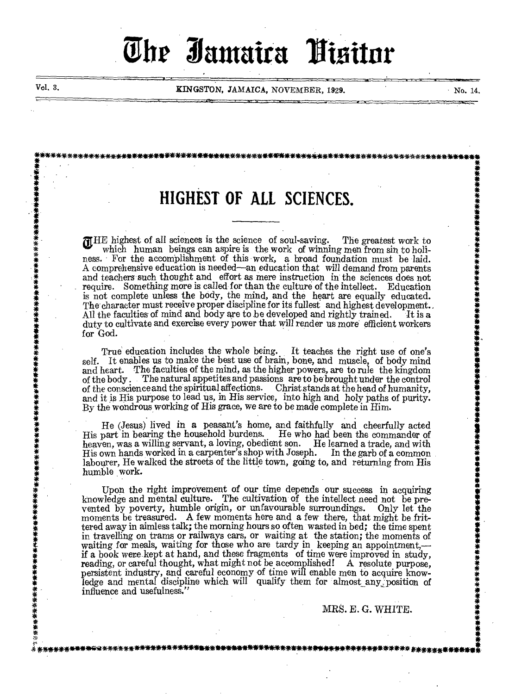# **Thr segamaira Visitor**

Vol. 3. KINGSTON, JAMAICA, NOVEMBER, 1929.

alt

**HIGHEST OF ALL SCIENCES.** 

**\*\*\*\*\*\*\*\*\*\*\*\*\*\*\*\*~P\*\*\*\*\*\*\*\*\*\*\*\*\*\*\*\*\*\*\*\*\*\*\*\*\*\*\*\*\*\*W\*\*\*\*\*\*\*\*\*\*\*\*-1k\*\*\*\*\*\*\*\*\*\*\*\*-\*\*\*\*\*\*** 

HE highest of all sciences is the science of soul-saving. The greatest work to which human beings can aspire is the work of winning men from sin to holiness. For the accomplishment of this work, a broad foundation must be laid. A comprehensive education is needed—an education that will demand from parents and teachers such thought and effort as mere instruction in the sciences does not require. Something more is called for than the culture of the intellect. Education is not complete unless the body, the mind, and the heart are equally educated. The character must receive proper discipline for its fullest and highest development.<br>All the faculties of mind and body are to be developed and rightly trained. It is a All the faculties of mind and body are to be developed and rightly trained. duty to cultivate and exercise every power that will render us more efficient workers for God.

True education includes the whole being. It teaches the right use of one's self. It enables us to make the best use of brain, bone, and muscle, of body mind and heart. The faculties of the mind, as the higher powers, are to rule the kingdom of the body . The natural appetites and passions are to be brought under the control of the conscience and the spiritual affections. Christ stands at the head of humanity, and it is His purpose to lead us, in His service, into high and holy paths of purity. By the wondrous working of His grace, we are to be made complete in Him.

He (Jesus) lived in a peasant's home, and faithfully and cheerfully acted His part in bearing the household burdens. He who had been the commander of heaven, was a willing servant, a loving, obedient son. He learned a trade, and with His own hands worked in a carpenter's shop with Joseph. In the garb of a common labourer, He walked the streets of the little town, going to, and returning from His humble work.

Upon the right improvement of our time depends our success in acquiring knowledge and mental culture. The cultivation of the intellect need not be prevented by poverty, humble origin, or unfavourable surroundings. Only let the moments be treasured. A few moments here and a few there, that might be frittered away in aimless talk; the morning hours so often wasted in bed; the time spent in travelling on trams or railways cars, or waiting at the station; the moments of waiting for meals, waiting for those who are tardy in keeping an appointment,if a book were kept at hand, and these fragments of time were improved in study, reading, or careful thought, what might not be accomplished! A resolute purpose, persistent industry, and careful economy of time will enable men to acquire knowledge and mental discipline which will qualify them for almost any position of influence and usefulness."

4 \*\*\*\*\*\*\*\*\*406,4 a t %\*\*\*\* 1\*\*\*\*\*\*\*\*\*\*\*\*\*\*114!\*\*\*\*\*1\*\*41\*\*\*\*\*\*311\* \*\*\*\*\*\*\*\*\*\*\*

### MRS. E. G. WHITE.

• alp \*

\*\*\*\*

\*<br>\*<br>半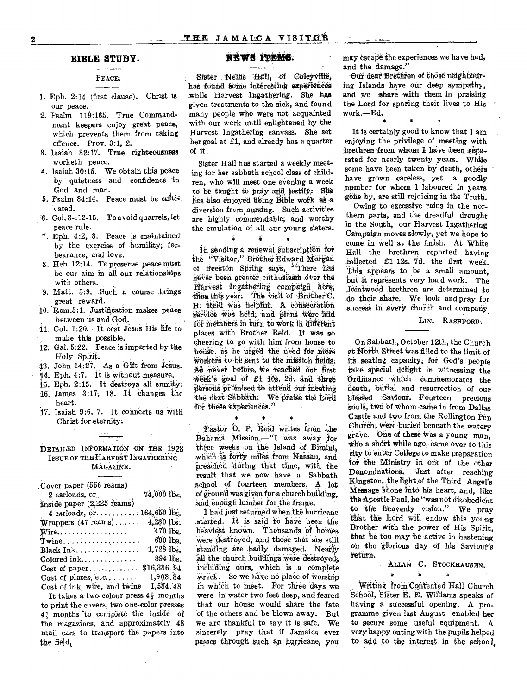### **BIBLE STUDY.**

### PEACE.

- 1. Eph. 2:14 (first clause). Christ is our peace.
- 2. Psalm 119:165. True Commandment keepers enjoy great peace, which prevents them from taking offence. Prov. 3:1, 2.
- 3. Isaiah 32:17. True righteousness worketh peace.
- 4. Isaiah 30:15. We obtain this peace by quietness and confidence 'in God and man.
- 5. Psalm 34:14. Peace must be 'voted.
- 6. Col. 3-:14-15. To avoid quarrels, Iet peace rule.
- 7. Eph. 4:2, 3. Peace is maintained by the exercise of humility; forbearance, and love.
- 8. Heb. 12:14. To preserve peace must be our aim in all our relationships with others.
- 9. Matt. 5:9: Such a course brings great reward.
- 10. Rom.5:1. Justification makes peace between us and God,.
- 11. Col. 1:20. It cost Jesus His life to make this possible.
- 12. Gal. 5:22. Peace is imparted by the Holy Spirit.
- 0. John 14:27. As a Gift from Ieaus.
- 44. Eph. 4:7. It is without measure.
- is. Eph. 2:15., It destroys all enmity.
- 16. James 3:17, 18. It changes the heart.
- 17. Isaiah 9:6, 7. It connects us with Christ for eternity:

### DETAILED INFORMATION ON THE 1928 ISSUE OF THE HARVEST INGATHERING MAGAZINE.

### .Cover paper (556 reams)  $2 \text{ carloads, or}$ ,  $74,000 \text{ lbs.}$ inside paper (2,225 reams) 4 carloads, or  $\dots \dots \dots 164,650$  lbs.<br>rappers  $(47 \text{ reams}) \dots \dots 4,230$  lbs.  $W$ rappers  $(47$  reams)......  $\text{Wire}\dots\text{170 lbs.} \ \text{Twine}\dots\text{1111} \ \text{180 lbs.} \ \text{Twine}\dots\text{1111} \ \text{160 lbs.}$ Twine 600 Black Ink 1,728 lbS. Colored ink..............

Cost of paper. \$126,338.94 Cost of plates,  $etc. \ldots$ Cost of ink, wire, and twine 1,534.48 It takes a two-colour press  $4\frac{1}{2}$  months

to print the covers, two one-color presses 42 months 'to complete the inside of the magazines, and approximately 48 mail cars to transport the papers into the field,

 $\mathbf{u} = \mathbf{u}$  .

### **NEWS ITEMS:**

Sister Nellie Hall, of Coleyville, has found some interesting experiences while Harvest Ingathering. She has -given treatments to the sick, and found many people who were not acquainted with our wcrk until enlightened by the Harvest Ingathering canvass. She set her goal at £1, and- already has a quarter -of it.

Sister Hall has started a weekly meeting for her sabbath school class of children, who will meet one evening a week to be taught to pray and testify. She has also enjoyed doing Bible work as a diversion from nursing. Such activities are highly commendable; and worthy the emulation of all our young sisters.

In sending a renewal subscription for the "Visitor," Brother Edward Morgan of Beeston Spring says, "There has hever been greater enthusiasm over the Harvest *Ingathering campaigh* here; than this year. The visit of Brother  $\mathbf C$ . H: Reid was helpful. A consecration service was held; and plans were laid for members in turn to work in different places with Brother Reid. It was so cheering to. go with him from house to house, as he urged the need for more Workers to be sent to the mission fields. As never before, we reached our first week's goal of  $\ell_1$  i0s. 2d. and three persons promised to attend our meeting the next Sabbath. We praise the Lord for these experiences."

Pastor O. P. Reid writes from the Bahama Mission.-"I was away for three weeks on the Island of Bimini. which is forty miles from Nassau, and preached during that time, with the result that we now have a Sabbath school of fourteen members. A lot of ground was given for a church building, and enough lumber for the frame.

\*

1 had just returned when the hurricane .started. it is said to have been the heaviest known. Thousands of homes were destroyed, and those that are still Standing are badly damaged. Nearly all the church buildings were destroyed. including ours, which is a complete wreck. So we have no place of worship in which to meet. For three days we were in water two feet deep, and feared that our house would share the fate of the others and be blown away. But we are thankful to say it is safe. We sincerely pray that if Jamaica ever passes through such an hurricane; you

may escape the experiences we have had, and the damage."

Our dear Brethren of those neighbouring Islands have our deep sympathy, and we share with them in praising the Lord for sparing their lives to His work.-Ed.

\*

It is certainly good to know that I am enjoying the privilege of meeting with brethren from whom I have been separated for nearly twenty years. While some have been taken by death, others have grown careless, yet a goodly number for whom I laboured in years gone by, are still rejoicing in the Truth.

Owing to excessive rains in the northem parts, and the dreadful drought in the South, our Harvest Ingathering Campaign moves slowly; yet we hope to come in well at the finish. At White Hall the brethren reported having  $_{\rm collected}$  £1 12s. 7d. the first week. This appears to be a small amount. but it represents very hard work. The Jointwood brethren are determined to .do their share. We look and pray for success in every church and company

### LIN: RASHFORD.

On Sabbath, October 12th, the Church at North Street was filled to the limit of its seating Capacity; for God's people take special delight in witnessing the Ordinance which commemorates the death, burial and resurrection of our blessed Saviour. Fourteen precious souls, two of whom came in from Dallas Castle and two from the Rollington Pen Church, were buried beneath the watery grave. One of these was a young man. who a short while ago, came over to this `city to-enter College to make preparation for the Ministry in one of the other Denominations. Just after reaching Kingston, the light.of the Third Angel's Message 'Shone into his heart, and, like the Apoitle Paul, he "was not disobedient to the heavenly vision." We pray that the Lord will endow this young Brother with the power of His Spirit, that he too may be active in hastening on the glorious day of his Saviout's retain-.

### ALLAN C. STOCKHAUSEN.

Writing from Contented Hall Church School, Sister E. E. Williams speaks of having a successful opening. A programme given last August enabled her to secure some useful equipment. A very happy outing with the pupils helped to add to the interest in the school.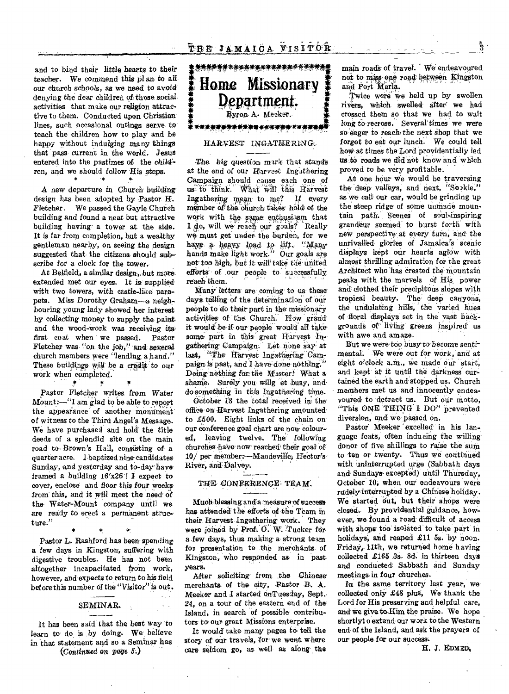and to bind their little hearts to their teacher. We commend this p1 an to all our church schools, as we need to avoid' denying the dear children of those social activities that make our religion attractive to them. Conducted upon Christian lines, such occasional outings serve to teach the children how to play and be happy without indulging many things that pass current in the world. Jesus entered into the pastimes of the children, and we should follow His steps.

A new departure in Church building design has been adopted by Pastor H. Fletcher. We passed the Gayle Church building and found a neat but attractive building having a tower at the side. It is far from completion, but a wealthy gentleman nearby, on seeing the design suggested that the citizens should subscribe for a clock for the tower.

一本

At Belfield, a similar design, but more extended met our eyes. it is supplied with two towers, with castle-like parapets. Miss Dorothy Graham—a neighbouring young lady showed her interest by collecting money to supply the paint and the wood-Work was receiving its' first coat when we passed. Pastor Fletcher was "on the job," and several church members were "lending, a hand." These buildings will be a credit to our work when completed.

- 19 pastor Fletcher *writes* from Water  $M\ddot{\text{o}}unt$ :  $-$  "I am glad to be able to report the appearance of another monument of witness to the Third Angel's Message. We have purchased and hold the title deeds of a splendid site on the main road to. Brown's Hall, consisting of a quarteraere. I baptized *nine' candidates*  Sunday, and yesterday and to-day have framed a building  $16'x26'!$  I expect to cover, enclose and floor this four weeks from this, and it will meet the need of the Water-Mount company until we are ready to erect a permanent structure."

Pastor L. Rashford has been spending a few days in Kingston, suffering with digestive troubles. He has not been altogether incapacitated from work, however, and expects to return to his field beforethis number of the *"Visitor" is* out.

### SEMINAR.

It has been said that the best way to learn to do is by doing. We believe in that statement and so a Seminar has

*(Continued on page 5.)* 



### HAR.VEST INGATHERING.

*The* big question- mark that stands at the end of our Harvest Ingathering Campaign should cause each one of us to think. What will this Harvest Ingathering mean to me? If every member of the church takes hold of the work with the same enthusiasm that I do, will we reach our goals? Really we must get under the burden., for we have a heavy load to lift. "Many hands make light work." Our goals are not too high, but it will take the united efforts of our people to successfully reach them.

Many letters are coming to us these days telling of the determination of our people to do their part in the missionary activities of the. Church: How grand it would be if our people would all take some part in this great Harvest Ingathering Campaign: Let none Say at' last, "The Harvest Ingathering Campaign is past, and I have done nothing." Doing nothing for the Master! What a shame. Surely you willg et busy, and do something in this Ingathering time.

October 13 the total received in the office on Harvest Ingathering amounted to £500. Eight links of the chain on our conference goal chart are now coloured, leaving twelve. The following churches have now reached their goal of 10/ per member:—Mandeville; Hector's, River, and Dalvey.

### THE- CONFERENCE- TEAM.

Much blessing and a measure of success *has* attended the efforts of the Team in their. Harvest Ingathering work. They were joined by Prof. O. W. Tucker for a few days, thus making a strong team for presentation to the merchants. of Kingston, who responded as in past years.

After soliciting from the Chinese merchants of the *city,* Pastor B. A. Meeker and 1 started OnTuesday, Sept. 24, on a tour of the eastern end of the Island, in search of possible contributors to- our great Missions enterprise.

It would' take many pages to tell the story of our travels, for we went where cars seldom go, as well as along the main road§ of travel. " We endeavoured not to miss one road between Kingston and Port Maria.

Twice were we held up by swollen rivers, which swelled after we had crossed them so that we had to wait long to recross. Several times we were so eager to reach the next shop that we *forgot* to eat our lunch.' We could tell how at times the Lord providentially led us to roads we did not know and which proved to be very profitable,.

At one hour we would be traversing the deep valleys, and next, "Sookie," as we call' our car, would be grinding up the steep ridge of some unmade mountain path'. 'Scenes of soul-inspiring grandeur seemed to burst forth with new perspective at every turn, and the unrivalled glories of Jamaica's scenic displays kept our hearts aglow with almost thrilling admiration for the great Arehitect who has crested the mountain peaks with the marvels of His power and clothed their precipitous slopes with tropical beauty. The' deep canyons, the undulating hills, the varied hues of 'floral displays set in the vast backgrounds of living greens inspired us with awe and amaze.

But we were too busy to become sentimental. We were out for work, and at eight o'clock a.m., we made our start, and kept at it until the darkness curtained the earth and stopped us. Church members met us 'and innocently endeavoured to detract us. But our motto, "This ONE THING I DO" prevented diversion, and we passed on.

Pastor Meeker excelled' in his Language feats, often inducing the willing donor of five shillings to *raise* the sum to ten or twenty. Thus we continued with uninterrupted urge (Sabbath days and Sundays excepted) until Thursday, October 10; when our endeavours were rudelyinterrupted by a Chinese holiday. We started out, but their shops were closed, By providential guidance, however, we found a road difficult of access with shops too isolated to take part in holidays, and reaped £11 5s. by noon. Friday, 11th, we returned home having collected £165 3s. 8d, in thirteen days and conducted Sabbath and Sunday *meetings,in four* churches.

In the same territory last year; we collected only £48 plus, We thank the Lord for His preserving and helpful care, and we give to-Him the praise. We hope shortlyt o extend our work to the Western end of the Island, and ask the prayers of our people for our success.

H. J. EDMED.

Å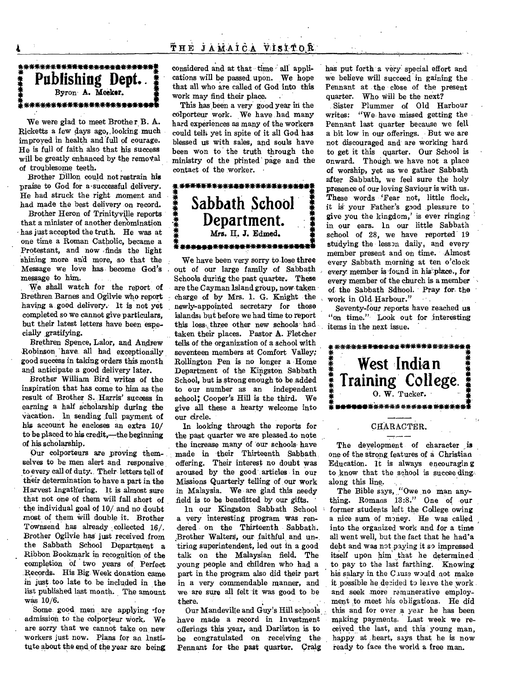

We were glad to meet Brother B. A. Ricketts a few days ago,.looking much improyed in health and full of courage. He is full of faith also that his success will be greatly enhanced by the removal of troublesome teeth.

Brother Dillon could not restrain his praise to God for a •successful delivery. He had struck the right moment and had made the best delivery on record.

Brother Heron of Trinityville reports that a minister of another denomination has just accepted the truth. He was at one time a Roman Catholic, became a Protestant, and now finds the light Shining more and more, so that the Message we love has become God's message to him.

We shall watch for the report of Brethren Barnes and Ogilvie who report having a good delivery. It is not yet completed so we cannot give particulars, but their latest letters have been especially gratifying.

Brethren Spence, Lalor, and Andrew Robinson:have. all had exceptionally good success in taking orders this month and anticipate a good delivery later.

Brother William Bird writes of the inspiration that has come to him as the result of Brother S. Harris' success in earning a half scholarship during the vacation. In sending full payment of his account he encloses an extra 10/ to be placed to his credit,—the beginning of his scholarship.

Our colporteurs are proving themselves to be men alert and responsive to every call of duty. Their letters tell of their determination to have a part in the Harvest ingatliering. It is almost sure that not one of them will fall short of the individual goal of 10/ and no doubt most of them will double it. Brother Townsend has already collected 16/. Brother Ogilvie has just received from the Sabbath School Department a Ribbon Bookmark in recognition of the completion of two years of Perfect Records. His Big. Week donation came in just too late to be included in the list published last month. The amount was 10/6.

Some good men are applying -for admission to the colporteur work. We are sorry that we cannot take on new workers just now. Plans for an Institute about the end of the year are being

considered and at that time ~ all applications will be passed upon. We hope that all who are called of God into this work may find their place. in 19

This has been a very good year in the colporteur work. We have had many hard experiences as many of the workers could telly yet in spite of it all God has blessed us with sales, and souls have been won to the truth through the ministry of the piinted' page and the contact of the worker.

### \*\*\*\*\*\*\*\*\*\*\*\*\*\*\*\*\*\*\*\*\*\*\*\* **Sabbath School' Department. eteisiemelek-\*\*\*\*\*\*\*\*\*\*\* Mrs. H. J. Edmed.**

We have been very sorry to lose three out of our large family of Sabbath Schools during the past quarter. These are the Cayman Island group, now taken charge of by Mrs. 1. G. Knight the newly-appointed secretary for those islands?, but before we had time to report this loss, three other new schools had taken their places. Pastor A. Fletcher tells of the organization of a school with seventeen members at Comfort Valley; Rollington Pen is no longer a Home Department of the Kingston Sabbath School, but is strong enough to be added to our number as an independent school; Cooper's Hill is the third. We give all these a hearty welcome into our circle.

In looking through the reports for the past quarter we are pleased .to note the increase many of our schools have made in their Thirteenth Sabbath offering. Their interest no doubt was aroused by the good articles in our Missions Quarterly telling of our work in Malaysia. We are glad this needy field is to be benefitted by our gifts. •

In our Kingston Sabbath School a very interesting program was rendered on the Thirteenth Sabbath. Brother Walters, our faithful and untiring superintendent, led out in a good talk on the Malaysian field. The young people and children who had a part in the program also did their part in a very commendable manner, and we are sure all felt it was good to be there.

Our Mandeville and Guy's Hill schools\_ have made a record in Investment offerings this year, and Darliston is to be congratulated on receiving the Pennant for the past quarter. Craig

has put forth a very special effort and we believe will succeed in gaining the Pennant at the close of the present quarter. Who will be the next?

Sister Plummer of Old Harbour writes: "We have missed getting the Pennant last quarter because we fell a bit low in our offerings. But we are not discouraged and are working hard to get it this quarter. Our School is onward. Though we have not a place of worship, yet as we gather Sabbath after Sabbath, we feel sure the holy presence of our loving Saviour is with us. These words 'Fear not, little flock, it is your Father's good pleasure to give you the kingdom,' is ever ringing in our ears. In our little Sabbath school of 28, we have reported 19 studying the lesson daily, and every member present and on time. Almost every Sabbath morning at ten o'clock every member is found in his place., for every member of the church is a member of. the Sabbath Sdhool. Pray for the work in Old. Harbour."

Seventy-four reports have reached us "on time." Look out for interesting items in the next issue.



### CHARACTER.

The development of character is one of the strong features of a Christian Education. It is always encouragin g to know that the school is succee ding, along this line.

The Bible says, "Owe no man anything. Romans 13:8." One of our former students left the College owing a nice sum of money. He was called into the organized work and for a time all went well, but the fact that he had'a debt and was not paying it so impressed itself upon him that he determined to pay to the last farthing. Knowing his salary in the Chuse would not make it possible he decided to leave the work and seek more remunerative employment to meet his obligations. He did this and for over a year he has been making payments. Last week we received the last, and this young man, happy at heart, says that he is now ready to face the world a free man.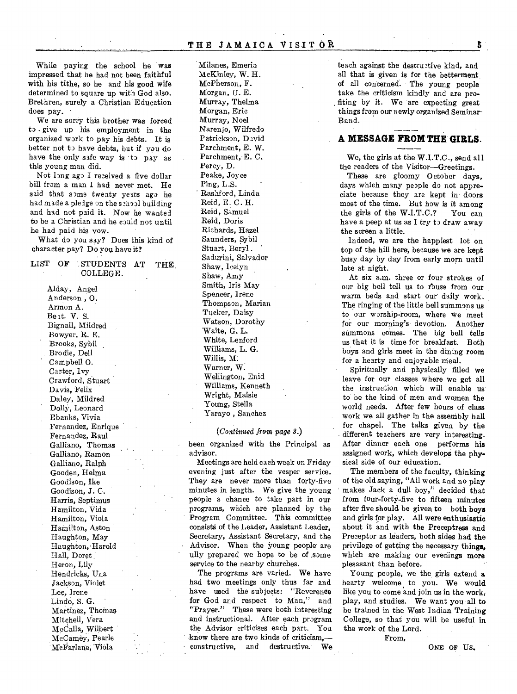While paying the school he was impressed that he had not been faithful with his tithe, so he and his good wife determined to square up with God also. Brethren, surely a Christian Education does pay.

We are sorry this brother was forced to give up his employment in the organized work to pay his debts. It is better not to have debts, but if you do have the only safe way is to pay as this young man did.

Not long ago I received a five dollar bill from a man I had never met. He said that some twenty years ago he had made a pledge on the school building and had not paid it. Now he wanted to be a Christian and he could not until he had paid his vow.

What do you say? Does this kind of character pay? Do you have it?

LIST OF STUDENTS AT THE COLLEGE.

> Alday, Angel Anderson , 0. Armon A. Be at, V. S. Bignall, Mildred Bowyer, R. E. Brooks, Sybil Brodie, Dell Campbell 0. Carter, Ivy Crawford, Stuart Davis, Felix Daley, Mildred Dolly, Leonard Ebanks, Vivia Fernandez, Enrique Fernandez, Raul Galliano, Thomas Galliano, Ramon Galliano, Ralph Gooden, Helma Goodison, Ike Goodison, J. C. Harris, Septimus Hamilton, Vida Hamilton, Viola Hamilton, Aston Haughton, May Haughton,•Harold Hall, Daret Heron, Lily Hendricks, Una Jackson, Violet Lee, Irene Lindo, S. G, Martinez, Thomas Mitchell, Vera McCalla, Wilbert McCamey, Pearle McFarlane, Viola

Milanes, Emeria McKinley, W. H. McPherson, F. Morgan, U. E. Murray, Thelma Morgan, Eric Murray, Noel Narenjo, Wilfredo Patrickson, David Parchment, E. W. Parchment, E. C. Percy, D. Peake, Joyce Ping, L.S. Rashford, Linda Reid, E. C. H. Reid, Samuel Reid, Doris Richards, Hazel Saunders, Sybil Stuart, Beryl . Sadurini, Salvador Shaw, Icelyn Shaw, Amy Smith, Iris May Spencer, Irene Thompson, Marian Tucker, Daisy Watson, Dorothy Waite, G. L. White, Lenford Williams, L. G. Willis, M. Warner, W. Wellington, Enid Williams, Kenneth Wright, Maisie Young, Stella Yarayo , Sanchez

### *(Continued from page 3.)*

been organized with the Principal as advisor.

Meetings are held each week on Friday evening just after the vesper service. They are never more than forty-five minutes in length. We give the young people a chance to take part in our programs, which are planned by the Program Committee. This committee consists of the Leader, Assistant Leader, Secretary, Assistant Secretary, and the Advisor. When the young people are ully prepared we hope to be of .some service to the nearby churches.

The programs are varied. We have had two meetings only thus far and have used the subjects:-"Reverence for God and respect to Man," and "Prayer." These were both interesting and instructional. After each program the Advisor criticises each part. You know there are two kinds of criticism, constructive, and destructive. We

teach against the destructive kind, and all that is given is for the betterment of all concerned. The young people take the criticism kindly and are profiting by it. We are expecting great things from our newly organized Seminar-Band.

### **A MESSAGE FROM THE GIRLS.**

*We,* the girls at the W.1.T.C., send all the readers of the Visitor—Greetings.

These are gloomy October days, days which many people do not appreciate because they are kept in doors most of the time. But how is it among the girls of the W.I.T.C.? You can have a peep at us as 1 try to draw away the screen a little.

Indeed, we are the happiest lot on top of the hill here, because we are kept busy day by day from early morn until late at night.

At six a.m. three or four strokes of our big bell tell us to rbuse from our warm beds and start our daily work. The ringing of the little bell summons us to our worship-room, where we meet for our morning's devotion. Another summons comes. The big bell tells us that it is time for breakfast. Both boys and girls meet in the dining room for a hearty and enjoyable meal.

Spiritually and physically filled we leave for our classes where we get all the instruction which will enable us to be the kind of men and women the world needs. After few hours of class work we all gather in the assembly hall for chapel. The talks given by the different teachers are very interesting. After dinner each one performs his assigned work, which develops the physical side of our education.

The members of the faculty, thinking of the old saying, "All work and no play makes Jack a dull boy," decided that from four-forty-five to fifteen minutes after five should be given to both boys and girls for play. All were enthusiastic about it and with the Preceptress and Preceptor as leaders, both sides had the privilege, of getting the necessary things, which are making our evenings more plesasant than before.

Young people, we the girls extend a hearty welcome to you. We would like you to come and join us in the work, play, and studies. We want you all to be trained in the West Indian Training College, so that you will be useful in the work of the Lord.

From,

ONE OF Us.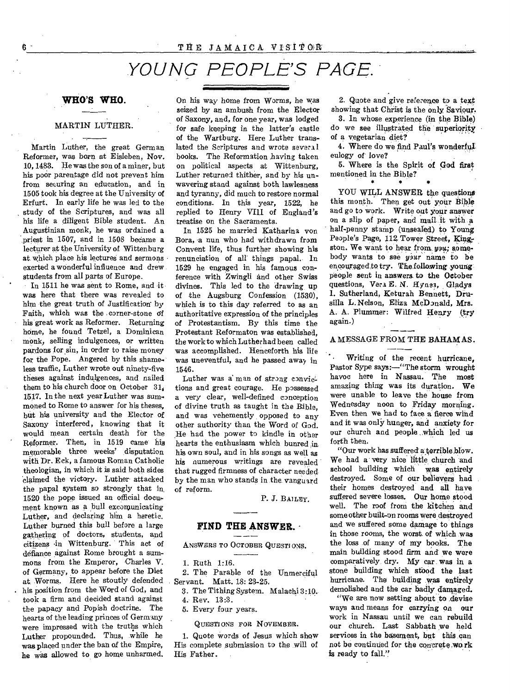### *YOUNG PEOPLE'S PAGE.*

### **WHO'S WHO.**

### MARTIN LUTHER.

Martin Luther, the great German Reformer, was born at Eisleben, Nov. 10, 1483. He was the son of a miner, but his poor parentage did not prevent him from securing an education, and in 1505 took his degree at the University of Erfurt. In early life he was led to the study of the Scriptures, and was all his life a diligent Bible student. An Augustinian monk, he was ordained a priest in 1507, and in 1508 became a lecturer at the University of Wittenburg at which place his lectures and sermons exerted a wonderful influence and drew students from all parts of Europe.

In 1511 he was sent to Rome, and it was here that there was revealed to him the great truth of Justification by Faith, which was the , corner-stone of his great work as Reformer. Returning home, he found Tetzel, a Dominican monk, selling indulgences, or written pardons for sin, in order to raise money for the Pope. Angered by this shameless traffic, Luther wrote out ninety-five theses against indulgences, and nailed them to his church door on October 31, 1517. In the next year Luther was summoned to Rome to answer for his theses, but his university and the Elector of Saxony interfered, knowing that it would mean certain death for the Reformer. Then, in 1519 came his memorable three weeks' disputation with Dr. Eck, a famous Roman Catholic theologian, in which it is said both sides claimed the victory. Luther- attacked the papal system so strongly that in 1520 the pope issued an official document known as a bull excomunicating Luther, and declaring him a heretic. Luther burned this bull before a large gathering of doctors, students, and citizens •in Wittenburg. This act of defiance against Rome brought a summons from the Emperor, Charles V. of Germany, to appear before the Diet at Worms. Here he stoutly defended his position from the Word of God, and took a firm and decided stand against the papacy and Popish doctrine. The hearts of the leading princes of Germany were impressed with the truths which Luther propounded. Thus, while he was played under the ban of the Empire, he was allowed to go home unharmed.

On his way home from Worms, he was seized by an ambush from the Elector of Saxony, and, for one year, was lodged for safe keeping in the latter's castle of the Wartburg. Here Luther translated the Scriptures and wrote several books. The Reformation having taken on political aspects at Wittenburg, Luther returned thither, and by his unwavering stand against both lawlesness and tyranny, did much to restore normal conditions. In this year, 1522, he replied to Henry VIII of England's treatise on the Sacraments.

In 1525 he married Katharine von Bora, a nun who had withdrawn from Convent life, thus further showing his renunciation of all things papal. In 1529 he engaged in his famous conference with Zwingli and other Swiss divines. This led to the drawing up of the Augsburg Confession (1530), which is to this day referred to as an authoritative expression of the principles of Protestantism. By this time the Protestant Reformaton was established, the work to which Lutherhad been called was accomplished. Henceforth his life was uneventful, and he passed away in 1546.

Luther was a' man of strong convictions and great courage. He possessed a very clear, well-defined conception of divine truth as taught in the Bible, and was vehemently opposed to any other authority than the Word of God. He had the power to kindle in other hearts the enthusiasm which bunred in his own soul, and in his songs as well as his numerous writings are revealed that rugged firmness of character needed by the man who stands in the vanguard of reform.

P. J. BAILEY.

## **FIND THE ANSWER.**<br>
WERS TO OCTOBER OVERFUOX

**ANSWERS** TO OCTOBER QUESTIONS.

1. Ruth 1:16.

2. The Parable of the Unmerciful Servant. Matt. 18: 23-25,

3. The Tithing System. Malachi 3:10.

4. Rev. 13:3.

5. Every four years.

QUESTIONS FOR NOVEMBER.

1. Quote words of Jesus which show His complete submission to the will of His Father.

2. Quote and giye reference to a text showing that Christ is the only 'Saviour,

3. In whose experience (in the Bible) do we *see* illustrated the superiority of a vegetarian diet?'

4. Where do we find Paul's wonderful eulogy of love?

5. Where is the Spirit of God first mentioned in the Bible? \*  $\bullet$ 

YOU WILL ANSWER the questions this month. Then get out your Bible and go to work. Write out your answer on a slip of paper, and mail it with half-penny stamp (unsealed) to Young People's Page, 112 Tower Street. Kingston. We want to hear from you; somebody wants to see your name to be encouragedto try. The following young people sent in *answers* to the October questions, Vera E. N. Hynes, Gladys I. Sutherland, Keturah Bennett, Drusilla L. Nelson, Eliza McDonald, Mrs. A. A. Plummer: Wilfred Henry (try again.) A. A. France F. Willie Henry (67)<br>again.)<br>A MESSAGE FROM THE BAHAMAS.

Writing of the recent hurricane. Pastor Sype says:—"The storm wrought havoc here in Nassau. The most amazing thing was its duration. We were unable to leave the house from Wednesday noon to Friday morning. Even then we had to face a fierce wind and it was only hunger, and anxiety for our church and people which led us forth then.

"Our work has suffered a:terrible blow. We had a very nice little church and school building which was entirely destroyed. Some of our believers had their homes destroyed and all have suffered severe losses. Our home stood well. The roof from the kitchen and some other built-on rooms were destroyed and we suffered some damage to things in those rooms, the worst, of which was the loss of many of my books. The main building stood firm and we were comparatively, dry. My car was in a stone building which stood the last hurricane. The building was entirely demolished and the car badly damaged.

"We are now setting about to devise ways and means for carrying on our work in Nassau until we can rebuild our church. Last Sabbath we held services in the basement, but this can not be continued for the concrete work is ready to fall."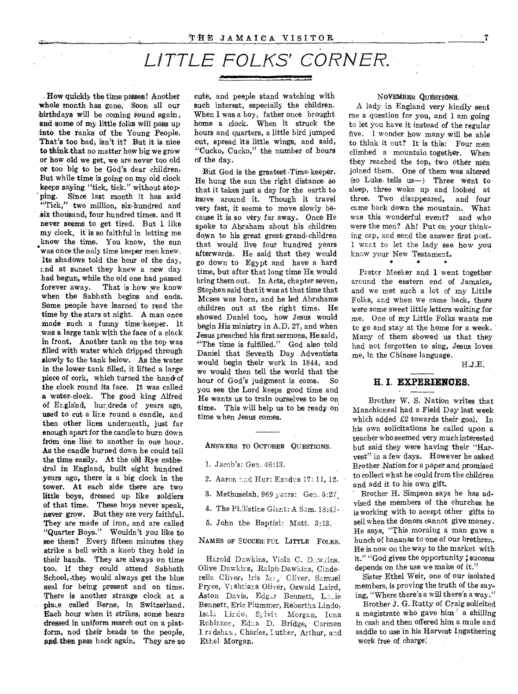### *LITTLE FOLKS' CORNER.*

**. How quickly the timepatses! Another**  whole month has gone. Soon all our **birthdays will be coming round again ,**  and some of my little folks will pass up into the ranks of the Young People. **That's too bad; isn't it? But it is nice to think-that no matter how big we grow or how old we get, we are never too old or too big to be GOd's dear children. But while time is going on my old clock keeps saying "tick, tick." without stopping. Since last month it has said "Tick," two Million, six-hundred and -sir thousand, four hundred times. and it never seems to get tired. But 1 like my clock, it is so faithful in letting me know the time. You know, the sun was once the only time keeper men knew. lts shadows told the hour of the day, and at sunset they knew a new day had begun, while the old one had passed forever away. That** is **how we know when the Sabbath begins and ends. Some people have learned to read the time by the stars at night. A man once made such a funny time-keeper. It was a large tank with the face of a clock in front. Another tank on the top was filled with water which dripped through Slowly to the tank below. As the water in the lower tank filled,** it **lifted a large piece of cork, which turned the handy of the clock round its face. It was called a water-clock. The good king Alfred Of England, hundreds of years ago, used to cut a line round a candle, and then other lines underneath, just far enough apart for the candle to burn down**  from one line to another in one hour. **As the candle burned down he could tell the time easily. At the old Rye cathedral in England, built eight hundred years ago, there is a big clock in the tower. At each side there are two little boys, dressed up Iike soldiers of that time. These boys never speak, never grow. But they are very faithful. They are made of iron, and are called "Quarter Boys." Wouldn't you like to see then? Every fifteen minutes they strike a bell with .a knob they hold in theii hands. They are always on time too. if they could attend Sabbath School, they would always get the blue seal for being present and on time. There is another strange clock at a place called Berne, in Switzerland. Each hour when it strikes, some bears dressed in uniform march out on a platform, nod their heads to the people, and•then pass back again. They are so** 

cute, and people stand watching with such interest, especially the **children. When I** was a boy, father once brought home a clock. When it struck the hours and quarters, a little bird jumped **out, spread its little wings, and said, "Cucko, Cucko," the number of hours of the day.** 

**BUt God** is the **greatest .Time- keeper: He hung** the sun the right distance so that it takes just a day for the earth to move around it. Though it travel very fast, it seems to move slowly because it is so very far away, Once He spoke to Abraham about his children down to his great great-grand-children **that would live four** hundred years **afterwards.** He said that they would go down to Egypt and have **a hard time, but after** that long time He. would bring them out. In Acts, chapter seven, Stephen said that it was at that time that Moses was born, and he led Abrahams children out at the right time. He showed Daniel too, how Jesus would begin His ministry in A.D. 27, and when Jesus preached his first sermons, He said, "The time is **fulfilled." God also told Daniel that Seventh Day Adventists would begin** their work in 1844, and we would then tell the world that the hour of God's judgment is come. So you see the Lord keeps good time and He wants us to train ourselves to be on, time. This will help us to be ready on time when Jesus comes.

ANSWERS TO OCTOBER QUESTIONS.

- **1. Jacob's: Gen. 46:13.**
- 2. Aaron and Hur: Exodus 17: 11, 12.
- 3. Methuselah, 969 years: Gen. 5:27,
- 4. The Philistine Giant: **A Sam. 18:4E-**
- 5. John the Baptist: Matt. 3:13.

#### NAMES OF SUCCESS FUL LITTLE FOLKS.

Harold Dawkins, Viola C. D. w.sins. Olive Dawkins, Ralph,Dawkins, Cinderella Cliver, Iris Mass Cliver, Samuel Pryce, Vishtiana Oliver, Oswald Laird, Aston Davis, Edgar Bennett, Louie Bennett, Eric Plummer, Rebertha Lindo, lscla Linde, Sylvia Morgan, Iona Rebirsor, Edna D. Bridge, Carmen I radshaw, Charles, Luther, Arthur, and Ethel Morgan.

### **/OVENtlita QUESTIONS.**

**A** lady in England **very kindly sent**  the a question **for** you, and 1 **am going**  to let you have it instead **of the regular**  five. 1 wonder how many **will be able**  to think it out? It is **this: Four** men climbed a mountain together. **When**  they reached the top, two other men joined them. One of them was altered (so Luke. tells us—) Three went to sleep, three woke up and looked at three. Two disappeared, and four came back down the mountain: What was this wonderful event? and who were the men? Ah! Put on your thinking cap, and send the answer first post. 1 want to let the lady see how you know your New Testament.

Pastor Meeker and 1 went together around the eastern end of Jamaica,, and we met such a lot of my Little Folks, and when we came back, there Were some sweet little letters waiting for me. One of my Little Folks wants me to go and stay at the home for a week. Many of them showed us that they had not forgotten to sing, Jesus loves me, in the Chinese language.

H.J.E.

## **R. I. EXPERIENCES.**<br> **Pathon W. S. Mating prime**

**Brother** W. S. Nation writes that Manchioneal had a Field Day last week which added £2 towards their goal. In his own solicitations he called upon a teacher who seemed very much interested but said they were having their "Harvest" in a few days. However he asked Brother Nation for a paper and promised to collect what he could from the children and add it to his own gift.

Brother H. Simpson, says he has advised the members of the churches he is working with to accept other gifts to sell when the donors cannot give money. He says, "This morning a man gave a bunch of bananas to one of our brethren. He is now on the way to the market with it." "God gives the opportunity ; success depends on the use we make of it."

Sister Ethel Weir, one of our isolated members, is proving the truth of the saying, "Where there's a will there's a way."

Brother J. G. Rutty of Craig solicited a magistrate who gave him a shilling in cash and then offered him a mule and saddle to use in his Harvest Ingathering **work free** of charge